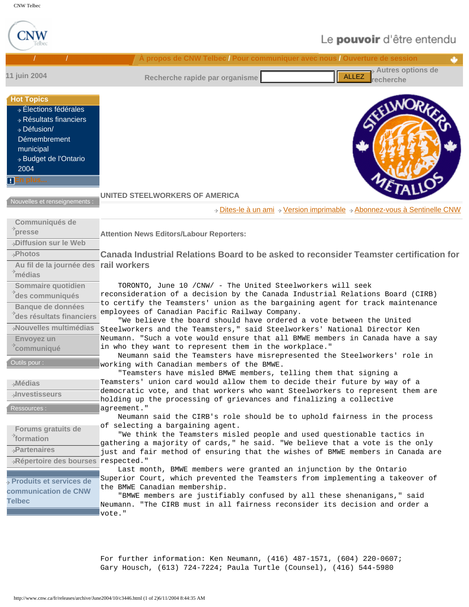

For further information: Ken Neumann, (416) 487-1571, (604) 220-0607; Gary Housch, (613) 724-7224; Paula Turtle (Counsel), (416) 544-5980